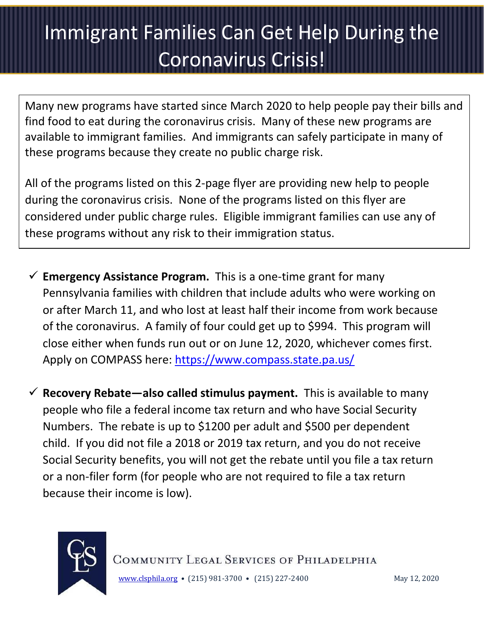## Immigrant Families Can Get Help During the Coronavirus Crisis!

and nave started since march 2020 to help people.<br>Juring the coronavirus crisis. Many of these now ar Enclose the Community Community of these in Many new programs have started since March 2020 to help people pay their bills and find food to eat during the coronavirus crisis. Many of these new programs are available to immigrant families. And immigrants can safely participate in many of these programs because they create no public charge risk.

All of the programs listed on this 2-page flyer are providing new help to people during the coronavirus crisis. None of the programs listed on this flyer are considered under public charge rules. Eligible immigrant families can use any of these programs without any risk to their immigration status.

- $\checkmark$  **Emergency Assistance Program.** This is a one-time grant for many Pennsylvania families with children that include adults who were working on or after March 11, and who lost at least half their income from work because of the coronavirus. A family of four could get up to \$994. This program will close either when funds run out or on June 12, 2020, whichever comes first. Apply on COMPASS here:<https://www.compass.state.pa.us/>
- ✓ **Recovery Rebate—also called stimulus payment.** This is available to many people who file a federal income tax return and who have Social Security Numbers. The rebate is up to \$1200 per adult and \$500 per dependent child. If you did not file a 2018 or 2019 tax return, and you do not receive Social Security benefits, you will not get the rebate until you file a tax return or a non-filer form (for people who are not required to file a tax return because their income is low).



COMMUNITY LEGAL SERVICES OF PHILADELPHIA [www.clsphila.org](http://www.clsphila.org/) • (215) 981-3700 • (215) 227-2400 May 12, 2020